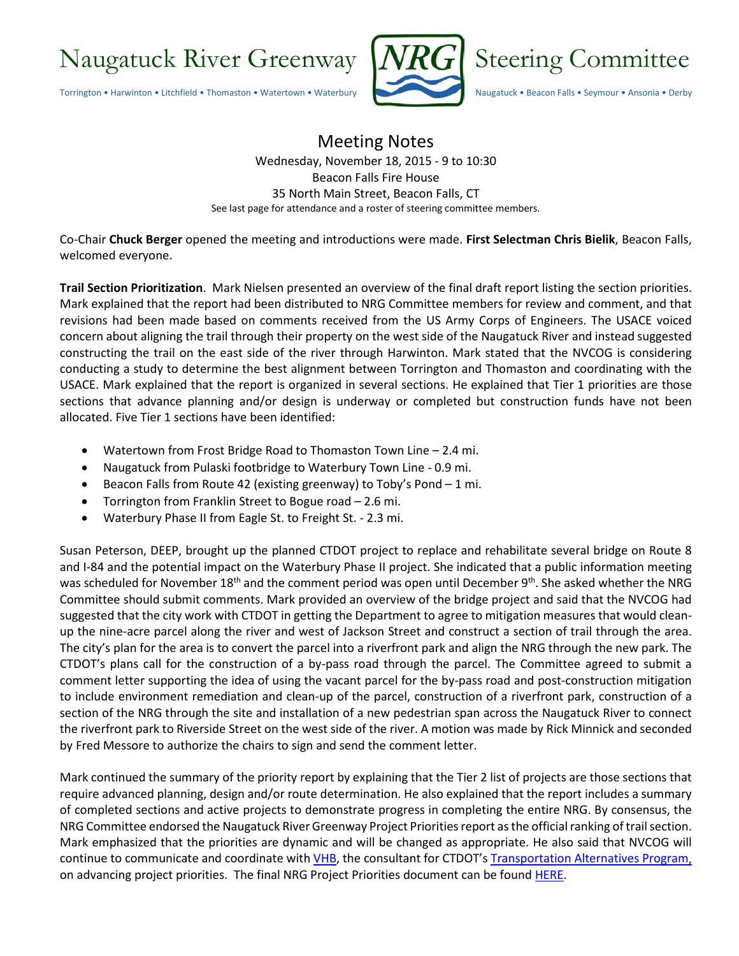

## Meeting Notes Wednesday, November 18, 2015 - 9 to 10:30 Beacon Falls Fire House 35 North Main Street, Beacon Falls, CT See last page for attendance and a roster of steering committee members.

Co-Chair **Chuck Berger** opened the meeting and introductions were made. **First Selectman Chris Bielik**, Beacon Falls, welcomed everyone.

**Trail Section Prioritization**. Mark Nielsen presented an overview of the final draft report listing the section priorities. Mark explained that the report had been distributed to NRG Committee members for review and comment, and that revisions had been made based on comments received from the US Army Corps of Engineers. The USACE voiced concern about aligning the trail through their property on the west side of the Naugatuck River and instead suggested constructing the trail on the east side of the river through Harwinton. Mark stated that the NVCOG is considering conducting a study to determine the best alignment between Torrington and Thomaston and coordinating with the USACE. Mark explained that the report is organized in several sections. He explained that Tier 1 priorities are those sections that advance planning and/or design is underway or completed but construction funds have not been allocated. Five Tier 1 sections have been identified:

- Watertown from Frost Bridge Road to Thomaston Town Line 2.4 mi.
- Naugatuck from Pulaski footbridge to Waterbury Town Line 0.9 mi.
- Beacon Falls from Route 42 (existing greenway) to Toby's Pond 1 mi.
- Torrington from Franklin Street to Bogue road 2.6 mi.
- Waterbury Phase II from Eagle St. to Freight St. 2.3 mi.

Susan Peterson, DEEP, brought up the planned CTDOT project to replace and rehabilitate several bridge on Route 8 and I-84 and the potential impact on the Waterbury Phase II project. She indicated that a public information meeting was scheduled for November 18<sup>th</sup> and the comment period was open until December 9<sup>th</sup>. She asked whether the NRG Committee should submit comments. Mark provided an overview of the bridge project and said that the NVCOG had suggested that the city work with CTDOT in getting the Department to agree to mitigation measures that would cleanup the nine-acre parcel along the river and west of Jackson Street and construct a section of trail through the area. The city's plan for the area is to convert the parcel into a riverfront park and align the NRG through the new park. The CTDOT's plans call for the construction of a by-pass road through the parcel. The Committee agreed to submit a comment letter supporting the idea of using the vacant parcel for the by-pass road and post-construction mitigation to include environment remediation and clean-up of the parcel, construction of a riverfront park, construction of a section of the NRG through the site and installation of a new pedestrian span across the Naugatuck River to connect the riverfront park to Riverside Street on the west side of the river. A motion was made by Rick Minnick and seconded by Fred Messore to authorize the chairs to sign and send the comment letter.

Mark continued the summary of the priority report by explaining that the Tier 2 list of projects are those sections that require advanced planning, design and/or route determination. He also explained that the report includes a summary of completed sections and active projects to demonstrate progress in completing the entire NRG. By consensus, the NRG Committee endorsed the Naugatuck River Greenway Project Priorities report as the official ranking of trail section. Mark emphasized that the priorities are dynamic and will be changed as appropriate. He also said that NVCOG will continue to communicate and coordinate with [VHB,](https://www.vhb.com/Pages/home.aspx) the consultant for CTDOT'[s Transportation Alternatives Program,](http://www.ct.gov/dot/cwp/view.asp?a=2094&q=487746) on advancing project priorities. The final NRG Project Priorities document can be found [HERE.](http://nvcogct.org/sites/default/files/NRG%20Section_Priorities_2015_10_23.pdf)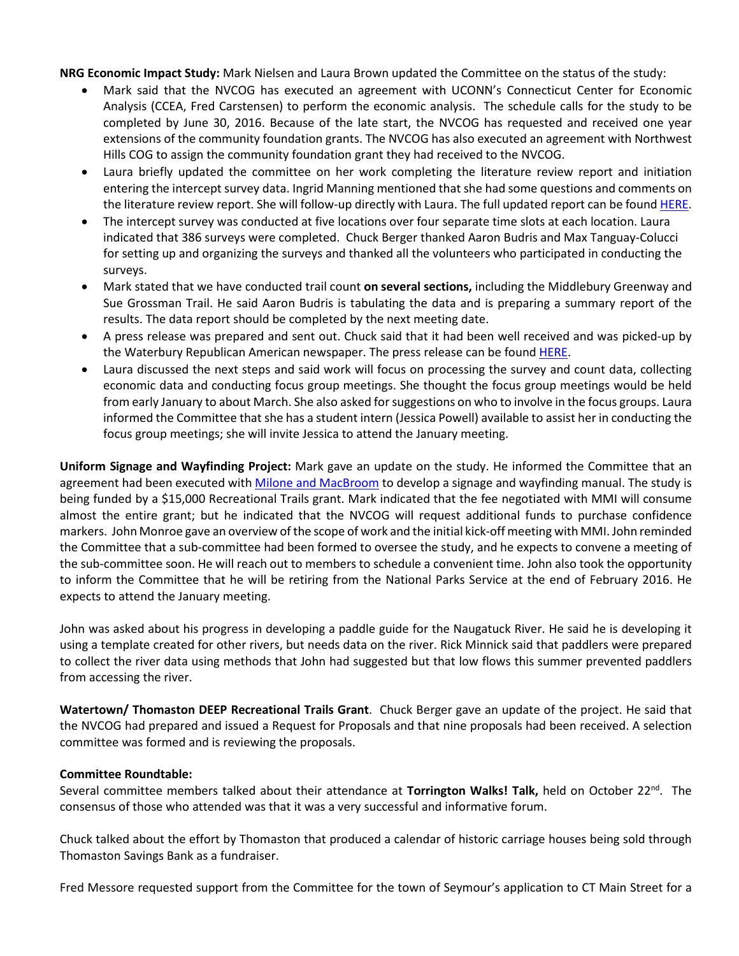**NRG Economic Impact Study:** Mark Nielsen and Laura Brown updated the Committee on the status of the study:

- Mark said that the NVCOG has executed an agreement with UCONN's Connecticut Center for Economic Analysis (CCEA, Fred Carstensen) to perform the economic analysis. The schedule calls for the study to be completed by June 30, 2016. Because of the late start, the NVCOG has requested and received one year extensions of the community foundation grants. The NVCOG has also executed an agreement with Northwest Hills COG to assign the community foundation grant they had received to the NVCOG.
- Laura briefly updated the committee on her work completing the literature review report and initiation entering the intercept survey data. Ingrid Manning mentioned that she had some questions and comments on the literature review report. She will follow-up directly with Laura. The full updated report can be found [HERE.](http://nvcogct.org/sites/default/files/NRGLiteratureReviewFinal%2010-8-15.pdf)
- The intercept survey was conducted at five locations over four separate time slots at each location. Laura indicated that 386 surveys were completed. Chuck Berger thanked Aaron Budris and Max Tanguay-Colucci for setting up and organizing the surveys and thanked all the volunteers who participated in conducting the surveys.
- Mark stated that we have conducted trail count **on several sections,** including the Middlebury Greenway and Sue Grossman Trail. He said Aaron Budris is tabulating the data and is preparing a summary report of the results. The data report should be completed by the next meeting date.
- A press release was prepared and sent out. Chuck said that it had been well received and was picked-up by the Waterbury Republican American newspaper. The press release can be found [HERE.](http://nvcogct.org/news/study-underway-assess-economic-impact-naugatuck-river-greenway-trail)
- Laura discussed the next steps and said work will focus on processing the survey and count data, collecting economic data and conducting focus group meetings. She thought the focus group meetings would be held from early January to about March. She also asked for suggestions on who to involve in the focus groups. Laura informed the Committee that she has a student intern (Jessica Powell) available to assist her in conducting the focus group meetings; she will invite Jessica to attend the January meeting.

**Uniform Signage and Wayfinding Project:** Mark gave an update on the study. He informed the Committee that an agreement had been executed with [Milone and MacBroom](http://www.miloneandmacbroom.com/Home.aspx) to develop a signage and wayfinding manual. The study is being funded by a \$15,000 Recreational Trails grant. Mark indicated that the fee negotiated with MMI will consume almost the entire grant; but he indicated that the NVCOG will request additional funds to purchase confidence markers. John Monroe gave an overview of the scope of work and the initial kick-off meeting with MMI. John reminded the Committee that a sub-committee had been formed to oversee the study, and he expects to convene a meeting of the sub-committee soon. He will reach out to members to schedule a convenient time. John also took the opportunity to inform the Committee that he will be retiring from the National Parks Service at the end of February 2016. He expects to attend the January meeting.

John was asked about his progress in developing a paddle guide for the Naugatuck River. He said he is developing it using a template created for other rivers, but needs data on the river. Rick Minnick said that paddlers were prepared to collect the river data using methods that John had suggested but that low flows this summer prevented paddlers from accessing the river.

**Watertown/ Thomaston DEEP Recreational Trails Grant**. Chuck Berger gave an update of the project. He said that the NVCOG had prepared and issued a Request for Proposals and that nine proposals had been received. A selection committee was formed and is reviewing the proposals.

## **Committee Roundtable:**

Several committee members talked about their attendance at **Torrington Walks! Talk,** held on October 22<sup>nd</sup>. The consensus of those who attended was that it was a very successful and informative forum.

Chuck talked about the effort by Thomaston that produced a calendar of historic carriage houses being sold through Thomaston Savings Bank as a fundraiser.

Fred Messore requested support from the Committee for the town of Seymour's application to CT Main Street for a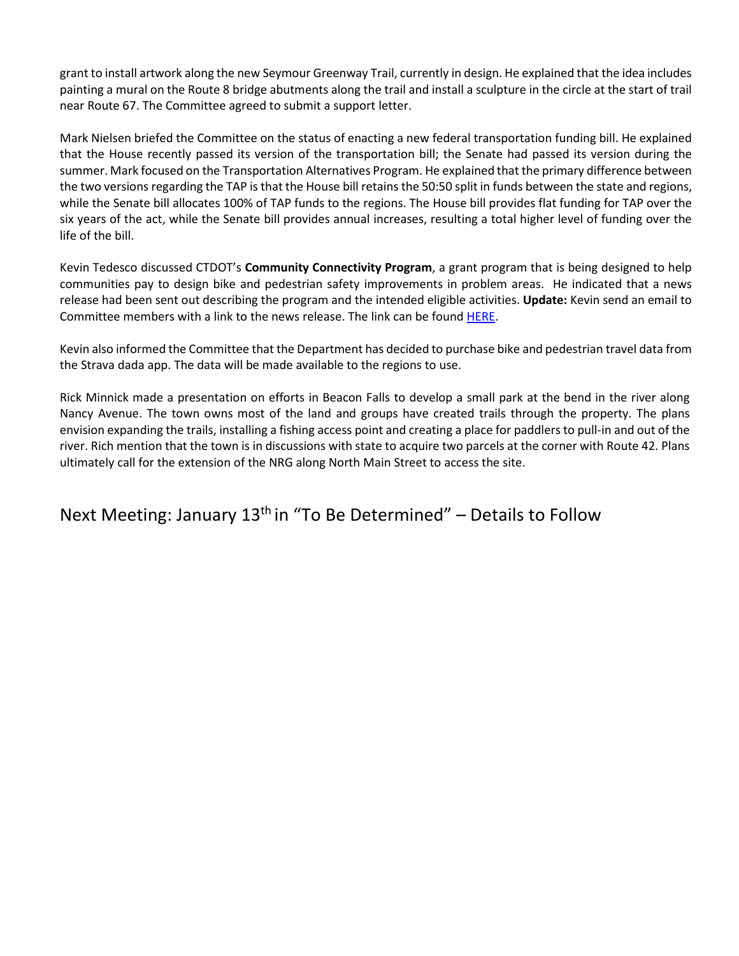grant to install artwork along the new Seymour Greenway Trail, currently in design. He explained that the idea includes painting a mural on the Route 8 bridge abutments along the trail and install a sculpture in the circle at the start of trail near Route 67. The Committee agreed to submit a support letter.

Mark Nielsen briefed the Committee on the status of enacting a new federal transportation funding bill. He explained that the House recently passed its version of the transportation bill; the Senate had passed its version during the summer. Mark focused on the Transportation Alternatives Program. He explained that the primary difference between the two versions regarding the TAP is that the House bill retains the 50:50 split in funds between the state and regions, while the Senate bill allocates 100% of TAP funds to the regions. The House bill provides flat funding for TAP over the six years of the act, while the Senate bill provides annual increases, resulting a total higher level of funding over the life of the bill.

Kevin Tedesco discussed CTDOT's **Community Connectivity Program**, a grant program that is being designed to help communities pay to design bike and pedestrian safety improvements in problem areas. He indicated that a news release had been sent out describing the program and the intended eligible activities. **Update:** Kevin send an email to Committee members with a link to the news release. The link can be foun[d HERE.](http://www.ct.gov/dot/cwp/view.asp?A=1373&Q=572892)

Kevin also informed the Committee that the Department has decided to purchase bike and pedestrian travel data from the Strava dada app. The data will be made available to the regions to use.

Rick Minnick made a presentation on efforts in Beacon Falls to develop a small park at the bend in the river along Nancy Avenue. The town owns most of the land and groups have created trails through the property. The plans envision expanding the trails, installing a fishing access point and creating a place for paddlers to pull-in and out of the river. Rich mention that the town is in discussions with state to acquire two parcels at the corner with Route 42. Plans ultimately call for the extension of the NRG along North Main Street to access the site.

Next Meeting: January  $13<sup>th</sup>$  in "To Be Determined" – Details to Follow